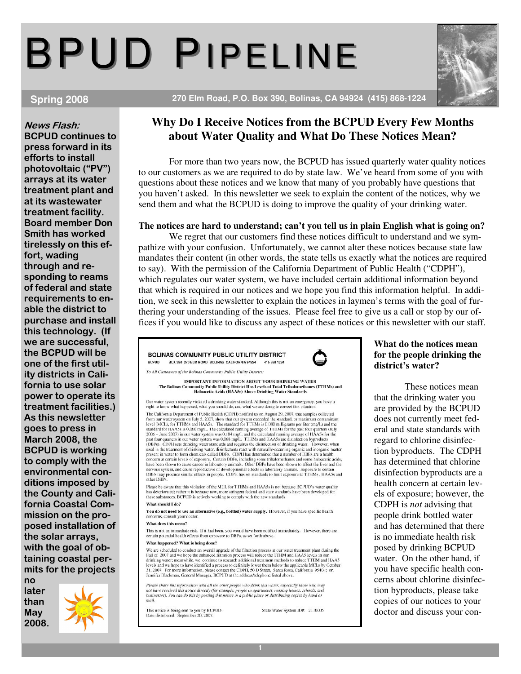# BPUD PIPELINE

News Flash: BCPUD continues to press forward in its efforts to install photovoltaic ("PV") arrays at its water treatment plant and at its wastewater treatment facility. Board member Don Smith has worked tirelessly on this effort, wading through and responding to reams of federal and state requirements to enable the district to purchase and install this technology. (If we are successful, the BCPUD will be one of the first utility districts in California to use solar power to operate its treatment facilities.) As this newsletter goes to press in March 2008, the BCPUD is working to comply with the environmental conditions imposed by the County and California Coastal Commission on the proposed installation of the solar arrays, with the goal of obtaining coastal permits for the projects no

later than May 2008.



## **Spring 2008 270 Elm Road, P.O. Box 390, Bolinas, CA 94924 (415) 868-1224**

## **Why Do I Receive Notices from the BCPUD Every Few Months about Water Quality and What Do These Notices Mean?**

 For more than two years now, the BCPUD has issued quarterly water quality notices to our customers as we are required to do by state law. We've heard from some of you with questions about these notices and we know that many of you probably have questions that you haven't asked. In this newsletter we seek to explain the content of the notices, why we send them and what the BCPUD is doing to improve the quality of your drinking water.

#### **The notices are hard to understand; can't you tell us in plain English what is going on?**

 We regret that our customers find these notices difficult to understand and we sympathize with your confusion. Unfortunately, we cannot alter these notices because state law mandates their content (in other words, the state tells us exactly what the notices are required to say). With the permission of the California Department of Public Health ("CDPH"), which regulates our water system, we have included certain additional information beyond that which is required in our notices and we hope you find this information helpful. In addition, we seek in this newsletter to explain the notices in laymen's terms with the goal of furthering your understanding of the issues. Please feel free to give us a call or stop by our offices if you would like to discuss any aspect of these notices or this newsletter with our staff.

BOLINAS COMMUNITY PUBLIC UTILITY DISTRICT BCPUD BOX 390 270 ELM ROAD BOLINAS CALIFORNIA 94924 415 868 1224

To All Customers of the Bolinas Community Public Utility District:

#### **IMPORTANT INFORMATION ABOUT YOUR DRINKING WATER** The Bolinas Community Public Utility District Has Levels of Total Trihalomethi<br>Haloacetic Acids (HAA5s) Above Drinking Water Standards hanes (TTHMs) and

Our water system recently violated a drinking water standard. Although this is not an emergency, you have a<br>right to know what happened, what you should do, and what we are doing to correct this situation.

The California Department of Public Health (CDPH) notified us on August 29, 2007, that samples collected live standard, or maximum containing from our water system by 15, 2007, show that our system exceeded the standard f The California Department of Public Health (CDPH) notified us on August 29, 2007, that samples collected other DBPs

Please be aware that this violation of the MCL for TTHMs and HAA5s is not because BCPUD's water quality<br>has deteriorated; rather it is because new, more stringent federal and state standards have been developed for<br>these s

#### What should I do?

You do not need to use an alternative (e.g., bottled) water supply. However, if you have specific health concerns, consult your doctor.

#### What does this mean?

This is not an immediate risk. If it had been, you would have been notified immediately. However, there are certain potential health effects from exposure to DBPs, as set forth above.

#### What happened? What is being done?

We are scheduled to conduct an overall upgrade of the filtration process at our water treatment plant during the Fall of 2007 and we hope the enhanced filtration process will reduce the TTHM and HAA5 levels in our drinking The leader in the state of the process to definitely lower them below the applicable MCLs by October<br>levels and we hope to have identified a process to definitely lower them below the applicable MCLs by October<br>31, 2007. F

Please share this information with all the other people who drink this water, especially those who may<br>not have received this notice directly (for example, people in apartments, nursing homes, schools, and<br>businesses). You mail

This notice is being sent to you by BCPUD.<br>Date distributed: September 20, 2007.

State Water System ID#: 2110005

### **What do the notices mean for the people drinking the district's water?**

 These notices mean that the drinking water you are provided by the BCPUD does not currently meet federal and state standards with regard to chlorine disinfection byproducts. The CDPH has determined that chlorine disinfection byproducts are a health concern at certain levels of exposure; however, the CDPH is *not* advising that people drink bottled water and has determined that there is no immediate health risk posed by drinking BCPUD water. On the other hand, if you have specific health concerns about chlorine disinfection byproducts, please take copies of our notices to your doctor and discuss your con